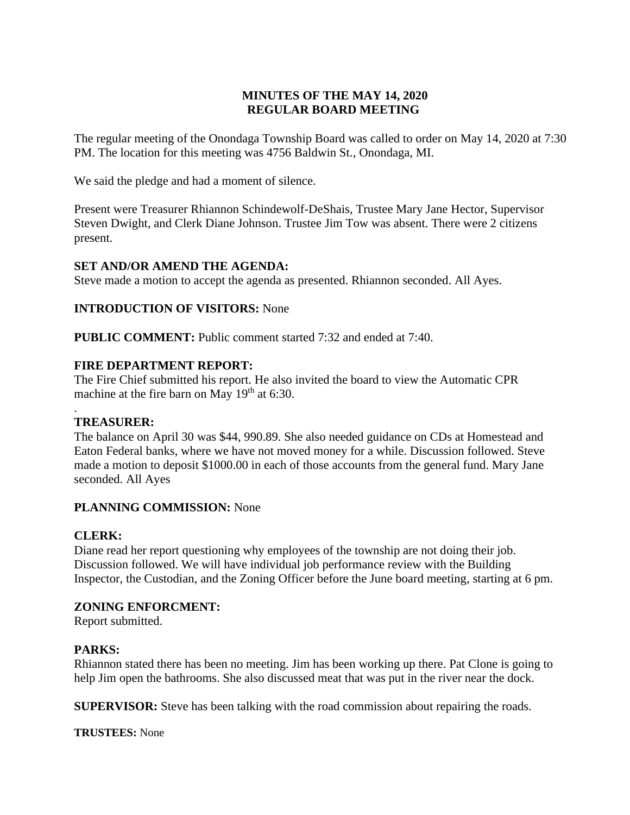# **MINUTES OF THE MAY 14, 2020 REGULAR BOARD MEETING**

The regular meeting of the Onondaga Township Board was called to order on May 14, 2020 at 7:30 PM. The location for this meeting was 4756 Baldwin St., Onondaga, MI.

We said the pledge and had a moment of silence.

Present were Treasurer Rhiannon Schindewolf-DeShais, Trustee Mary Jane Hector, Supervisor Steven Dwight, and Clerk Diane Johnson. Trustee Jim Tow was absent. There were 2 citizens present.

## **SET AND/OR AMEND THE AGENDA:**

Steve made a motion to accept the agenda as presented. Rhiannon seconded. All Ayes.

## **INTRODUCTION OF VISITORS:** None

**PUBLIC COMMENT:** Public comment started 7:32 and ended at 7:40.

## **FIRE DEPARTMENT REPORT:**

The Fire Chief submitted his report. He also invited the board to view the Automatic CPR machine at the fire barn on May  $19<sup>th</sup>$  at 6:30.

#### . **TREASURER:**

The balance on April 30 was \$44, 990.89. She also needed guidance on CDs at Homestead and Eaton Federal banks, where we have not moved money for a while. Discussion followed. Steve made a motion to deposit \$1000.00 in each of those accounts from the general fund. Mary Jane seconded. All Ayes

## **PLANNING COMMISSION:** None

## **CLERK:**

Diane read her report questioning why employees of the township are not doing their job. Discussion followed. We will have individual job performance review with the Building Inspector, the Custodian, and the Zoning Officer before the June board meeting, starting at 6 pm.

## **ZONING ENFORCMENT:**

Report submitted.

## **PARKS:**

Rhiannon stated there has been no meeting. Jim has been working up there. Pat Clone is going to help Jim open the bathrooms. She also discussed meat that was put in the river near the dock.

**SUPERVISOR:** Steve has been talking with the road commission about repairing the roads.

**TRUSTEES:** None